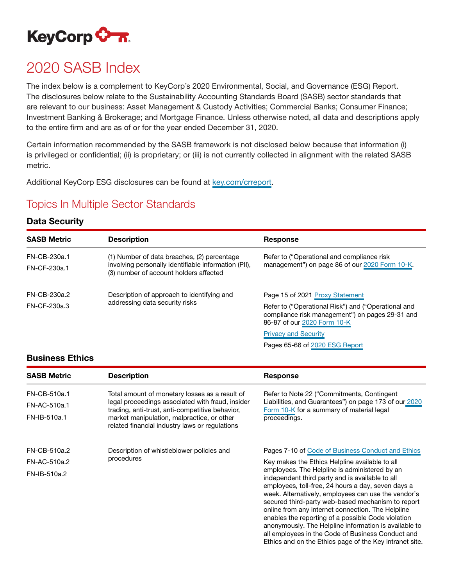

# 2020 SASB Index

The index below is a complement to KeyCorp's 2020 Environmental, Social, and Governance (ESG) Report. The disclosures below relate to the Sustainability Accounting Standards Board (SASB) sector standards that are relevant to our business: Asset Management & Custody Activities; Commercial Banks; Consumer Finance; Investment Banking & Brokerage; and Mortgage Finance. Unless otherwise noted, all data and descriptions apply to the entire firm and are as of or for the year ended December 31, 2020.

Certain information recommended by the SASB framework is not disclosed below because that information (i) is privileged or confidential; (ii) is proprietary; or (iii) is not currently collected in alignment with the related SASB metric.

Additional KeyCorp ESG disclosures can be found at [key.com/crreport.](https://www.key.com/about/corporate-responsibility/corporate-responsibility-reporting.jsp)

### Topics In Multiple Sector Standards

#### Data Security

| <b>SASB Metric</b> | <b>Description</b>                                                                             | Response                                                                                                                              |
|--------------------|------------------------------------------------------------------------------------------------|---------------------------------------------------------------------------------------------------------------------------------------|
|                    |                                                                                                |                                                                                                                                       |
| FN-CB-230a.1       | (1) Number of data breaches, (2) percentage                                                    | Refer to ("Operational and compliance risk                                                                                            |
| FN-CF-230a.1       | involving personally identifiable information (PII),<br>(3) number of account holders affected | management") on page 86 of our 2020 Form 10-K.                                                                                        |
| FN-CB-230a.2       | Description of approach to identifying and<br>addressing data security risks                   | Page 15 of 2021 Proxy Statement                                                                                                       |
| FN-CF-230a.3       |                                                                                                | Refer to ("Operational Risk") and ("Operational and<br>compliance risk management") on pages 29-31 and<br>86-87 of our 2020 Form 10-K |

#### [Privacy and Security](https://www.key.com/about/security/privacy-security.jsp)

Pages 65-66 of [2020 ESG Report](https://www.key.com/about/corporate-responsibility/crreports.jsp)

all employees in the Code of Business Conduct and Ethics and on the Ethics page of the Key intranet site.

#### Business Ethics

| <b>SASB Metric</b> | <b>Description</b>                                                                                  | Response                                                                                                                                                                                                                                                                                                                                                                                                                               |
|--------------------|-----------------------------------------------------------------------------------------------------|----------------------------------------------------------------------------------------------------------------------------------------------------------------------------------------------------------------------------------------------------------------------------------------------------------------------------------------------------------------------------------------------------------------------------------------|
| FN-CB-510a.1       | Total amount of monetary losses as a result of                                                      | Refer to Note 22 ("Commitments, Contingent"                                                                                                                                                                                                                                                                                                                                                                                            |
| FN-AC-510a.1       | legal proceedings associated with fraud, insider<br>trading, anti-trust, anti-competitive behavior, | Liabilities, and Guarantees") on page 173 of our 2020<br>Form 10-K for a summary of material legal                                                                                                                                                                                                                                                                                                                                     |
| FN-IB-510a.1       | market manipulation, malpractice, or other<br>related financial industry laws or regulations        | proceedings.                                                                                                                                                                                                                                                                                                                                                                                                                           |
| FN-CB-510a.2       | Description of whistleblower policies and<br>procedures                                             | Pages 7-10 of Code of Business Conduct and Ethics                                                                                                                                                                                                                                                                                                                                                                                      |
| FN-AC-510a.2       |                                                                                                     | Key makes the Ethics Helpline available to all                                                                                                                                                                                                                                                                                                                                                                                         |
| FN-IB-510a.2       |                                                                                                     | employees. The Helpline is administered by an<br>independent third party and is available to all<br>employees, toll-free, 24 hours a day, seven days a<br>week. Alternatively, employees can use the vendor's<br>secured third-party web-based mechanism to report<br>online from any internet connection. The Helpline<br>enables the reporting of a possible Code violation<br>anonymously. The Helpline information is available to |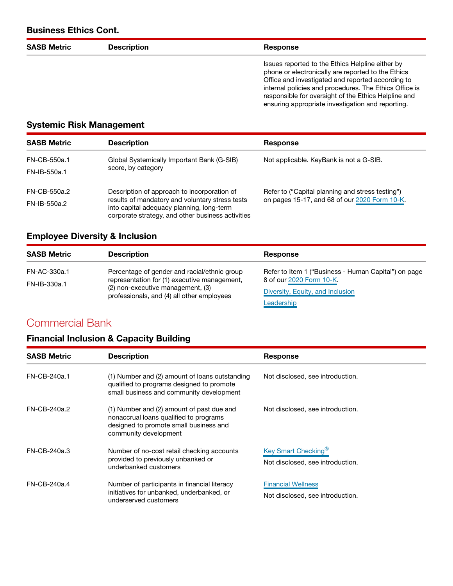### Business Ethics Cont.

| <b>SASB Metric</b> | <b>Description</b> | <b>Response</b>                                                                                                                                                                                                                                                                                                                    |
|--------------------|--------------------|------------------------------------------------------------------------------------------------------------------------------------------------------------------------------------------------------------------------------------------------------------------------------------------------------------------------------------|
|                    |                    | Issues reported to the Ethics Helpline either by<br>phone or electronically are reported to the Ethics<br>Office and investigated and reported according to<br>internal policies and procedures. The Ethics Office is<br>responsible for oversight of the Ethics Helpline and<br>ensuring appropriate investigation and reporting. |

#### Systemic Risk Management

| <b>SASB Metric</b> | <b>Description</b>                                                                                                                                                                               | <b>Response</b>                                                                                   |
|--------------------|--------------------------------------------------------------------------------------------------------------------------------------------------------------------------------------------------|---------------------------------------------------------------------------------------------------|
| FN-CB-550a.1       | Global Systemically Important Bank (G-SIB)<br>score, by category                                                                                                                                 | Not applicable. KeyBank is not a G-SIB.                                                           |
| FN-IB-550a.1       |                                                                                                                                                                                                  |                                                                                                   |
| FN-CB-550a.2       | Description of approach to incorporation of<br>results of mandatory and voluntary stress tests<br>into capital adequacy planning, long-term<br>corporate strategy, and other business activities | Refer to ("Capital planning and stress testing")<br>on pages 15-17, and 68 of our 2020 Form 10-K. |
| $FN-IB-550a.2$     |                                                                                                                                                                                                  |                                                                                                   |

#### Employee Diversity & Inclusion

| <b>SASB Metric</b> | <b>Description</b>                                                                                                                                                              | Response                                             |
|--------------------|---------------------------------------------------------------------------------------------------------------------------------------------------------------------------------|------------------------------------------------------|
| FN-AC-330a.1       | Percentage of gender and racial/ethnic group<br>representation for (1) executive management,<br>(2) non-executive management, (3)<br>professionals, and (4) all other employees | Refer to Item 1 ("Business - Human Capital") on page |
| FN-IB-330a.1       |                                                                                                                                                                                 | 8 of our 2020 Form 10-K                              |
|                    |                                                                                                                                                                                 | Diversity, Equity, and Inclusion                     |
|                    |                                                                                                                                                                                 | Leadership                                           |

# Commercial Bank

# Financial Inclusion & Capacity Building

| <b>SASB Metric</b> | <b>Description</b>                                                                                                                                     | <b>Response</b>                                                     |
|--------------------|--------------------------------------------------------------------------------------------------------------------------------------------------------|---------------------------------------------------------------------|
| FN-CB-240a.1       | (1) Number and (2) amount of loans outstanding<br>qualified to programs designed to promote<br>small business and community development                | Not disclosed, see introduction.                                    |
| FN-CB-240a.2       | (1) Number and (2) amount of past due and<br>nonaccrual loans qualified to programs<br>designed to promote small business and<br>community development | Not disclosed, see introduction.                                    |
| FN-CB-240a.3       | Number of no-cost retail checking accounts<br>provided to previously unbanked or<br>underbanked customers                                              | Key Smart Checking <sup>®</sup><br>Not disclosed, see introduction. |
| FN-CB-240a.4       | Number of participants in financial literacy<br>initiatives for unbanked, underbanked, or<br>underserved customers                                     | <b>Financial Wellness</b><br>Not disclosed, see introduction.       |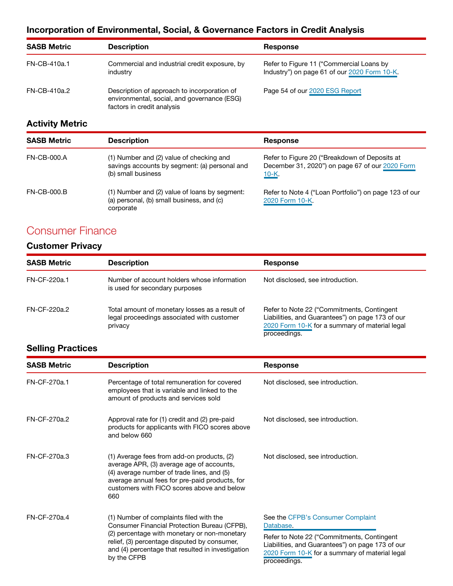### Incorporation of Environmental, Social, & Governance Factors in Credit Analysis

| <b>SASB Metric</b> | <b>Description</b>                                                                                                       | Response                                                                                 |
|--------------------|--------------------------------------------------------------------------------------------------------------------------|------------------------------------------------------------------------------------------|
| FN-CB-410a.1       | Commercial and industrial credit exposure, by<br>industry                                                                | Refer to Figure 11 ("Commercial Loans by<br>Industry") on page 61 of our 2020 Form 10-K. |
| FN-CB-410a.2       | Description of approach to incorporation of<br>environmental, social, and governance (ESG)<br>factors in credit analysis | Page 54 of our 2020 ESG Report                                                           |

### Activity Metric

| <b>SASB Metric</b> | <b>Description</b>                                                                                              | Response                                                                                                    |
|--------------------|-----------------------------------------------------------------------------------------------------------------|-------------------------------------------------------------------------------------------------------------|
| FN-CB-000.A        | (1) Number and (2) value of checking and<br>savings accounts by segment: (a) personal and<br>(b) small business | Refer to Figure 20 ("Breakdown of Deposits at<br>December 31, 2020") on page 67 of our 2020 Form<br>$10-K.$ |
| <b>FN-CB-000.B</b> | (1) Number and (2) value of loans by segment:<br>(a) personal, (b) small business, and (c)<br>corporate         | Refer to Note 4 ("Loan Portfolio") on page 123 of our<br>2020 Form 10-K                                     |

# Consumer Finance

### Customer Privacy

| <b>SASB Metric</b> | <b>Description</b>                                                                                      | <b>Response</b>                                                                                                                                                  |
|--------------------|---------------------------------------------------------------------------------------------------------|------------------------------------------------------------------------------------------------------------------------------------------------------------------|
| FN-CF-220a.1       | Number of account holders whose information<br>is used for secondary purposes                           | Not disclosed, see introduction.                                                                                                                                 |
| FN-CF-220a.2       | Total amount of monetary losses as a result of<br>legal proceedings associated with customer<br>privacy | Refer to Note 22 ("Commitments, Contingent<br>Liabilities, and Guarantees") on page 173 of our<br>2020 Form 10-K for a summary of material legal<br>proceedings. |

### Selling Practices

| <b>SASB Metric</b> | <b>Description</b>                                                                                                                                                                                                                                          | <b>Response</b>                                                                                                                                                                                                    |
|--------------------|-------------------------------------------------------------------------------------------------------------------------------------------------------------------------------------------------------------------------------------------------------------|--------------------------------------------------------------------------------------------------------------------------------------------------------------------------------------------------------------------|
| FN-CF-270a.1       | Percentage of total remuneration for covered<br>employees that is variable and linked to the<br>amount of products and services sold                                                                                                                        | Not disclosed, see introduction.                                                                                                                                                                                   |
| FN-CF-270a.2       | Approval rate for (1) credit and (2) pre-paid<br>products for applicants with FICO scores above<br>and below 660                                                                                                                                            | Not disclosed, see introduction.                                                                                                                                                                                   |
| FN-CF-270a.3       | (1) Average fees from add-on products, (2)<br>average APR, (3) average age of accounts,<br>(4) average number of trade lines, and (5)<br>average annual fees for pre-paid products, for<br>customers with FICO scores above and below<br>660                | Not disclosed, see introduction.                                                                                                                                                                                   |
| FN-CF-270a.4       | (1) Number of complaints filed with the<br>Consumer Financial Protection Bureau (CFPB),<br>(2) percentage with monetary or non-monetary<br>relief, (3) percentage disputed by consumer,<br>and (4) percentage that resulted in investigation<br>by the CFPB | See the CFPB's Consumer Complaint<br>Database.<br>Refer to Note 22 ("Commitments, Contingent<br>Liabilities, and Guarantees") on page 173 of our<br>2020 Form 10-K for a summary of material legal<br>proceedings. |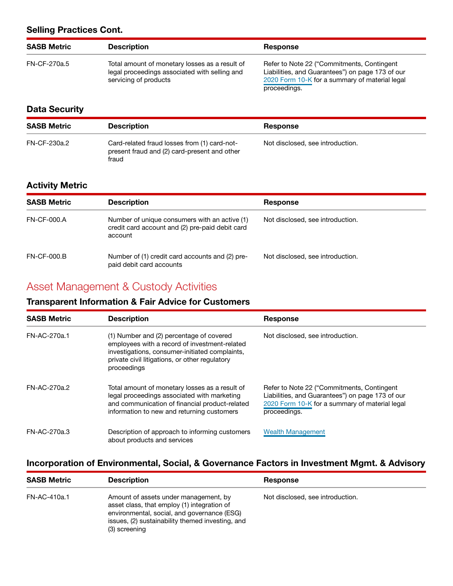#### Selling Practices Cont.

| <b>SASB Metric</b> | <b>Description</b>                                                                                                       | <b>Response</b>                                                                                                                                                   |
|--------------------|--------------------------------------------------------------------------------------------------------------------------|-------------------------------------------------------------------------------------------------------------------------------------------------------------------|
| FN-CF-270a.5       | Total amount of monetary losses as a result of<br>legal proceedings associated with selling and<br>servicing of products | Refer to Note 22 ("Commitments, Contingent"<br>Liabilities, and Guarantees") on page 173 of our<br>2020 Form 10-K for a summary of material legal<br>proceedings. |

#### Data Security

| <b>SASB Metric</b> | <b>Description</b>                                                                                    | Response                         |
|--------------------|-------------------------------------------------------------------------------------------------------|----------------------------------|
| FN-CF-230a.2       | Card-related fraud losses from (1) card-not-<br>present fraud and (2) card-present and other<br>fraud | Not disclosed, see introduction. |

#### Activity Metric

| <b>SASB Metric</b> | <b>Description</b>                                                                                          | Response                         |
|--------------------|-------------------------------------------------------------------------------------------------------------|----------------------------------|
| <b>FN-CF-000.A</b> | Number of unique consumers with an active (1)<br>credit card account and (2) pre-paid debit card<br>account | Not disclosed, see introduction. |
| <b>FN-CF-000.B</b> | Number of (1) credit card accounts and (2) pre-<br>paid debit card accounts                                 | Not disclosed, see introduction. |

## Asset Management & Custody Activities

#### Transparent Information & Fair Advice for Customers

| <b>SASB Metric</b> | <b>Description</b>                                                                                                                                                                                           | <b>Response</b>                                                                                                                                                  |  |  |
|--------------------|--------------------------------------------------------------------------------------------------------------------------------------------------------------------------------------------------------------|------------------------------------------------------------------------------------------------------------------------------------------------------------------|--|--|
| FN-AC-270a.1       | (1) Number and (2) percentage of covered<br>employees with a record of investment-related<br>investigations, consumer-initiated complaints,<br>private civil litigations, or other regulatory<br>proceedings | Not disclosed, see introduction.                                                                                                                                 |  |  |
| FN-AC-270a.2       | Total amount of monetary losses as a result of<br>legal proceedings associated with marketing<br>and communication of financial product-related<br>information to new and returning customers                | Refer to Note 22 ("Commitments, Contingent<br>Liabilities, and Guarantees") on page 173 of our<br>2020 Form 10-K for a summary of material legal<br>proceedings. |  |  |
| FN-AC-270a.3       | Description of approach to informing customers<br>about products and services                                                                                                                                | <b>Wealth Management</b>                                                                                                                                         |  |  |

#### Incorporation of Environmental, Social, & Governance Factors in Investment Mgmt. & Advisory

| <b>SASB Metric</b> | <b>Description</b>                                                                                                                                                                                       | Response                         |  |
|--------------------|----------------------------------------------------------------------------------------------------------------------------------------------------------------------------------------------------------|----------------------------------|--|
| FN-AC-410a.1       | Amount of assets under management, by<br>asset class, that employ (1) integration of<br>environmental, social, and governance (ESG)<br>issues, (2) sustainability themed investing, and<br>(3) screening | Not disclosed, see introduction. |  |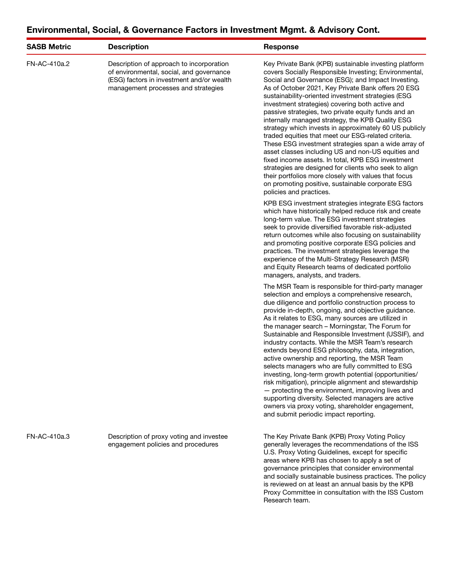| <b>SASB Metric</b> | <b>Description</b>                                                                                                                                                       | <b>Response</b>                                                                                                                                                                                                                                                                                                                                                                                                                                                                                                                                                                                                                                                                                                                                                                                                                                                                                                                    |  |  |
|--------------------|--------------------------------------------------------------------------------------------------------------------------------------------------------------------------|------------------------------------------------------------------------------------------------------------------------------------------------------------------------------------------------------------------------------------------------------------------------------------------------------------------------------------------------------------------------------------------------------------------------------------------------------------------------------------------------------------------------------------------------------------------------------------------------------------------------------------------------------------------------------------------------------------------------------------------------------------------------------------------------------------------------------------------------------------------------------------------------------------------------------------|--|--|
| FN-AC-410a.2       | Description of approach to incorporation<br>of environmental, social, and governance<br>(ESG) factors in investment and/or wealth<br>management processes and strategies | Key Private Bank (KPB) sustainable investing platform<br>covers Socially Responsible Investing; Environmental,<br>Social and Governance (ESG); and Impact Investing.<br>As of October 2021, Key Private Bank offers 20 ESG<br>sustainability-oriented investment strategies (ESG<br>investment strategies) covering both active and<br>passive strategies, two private equity funds and an<br>internally managed strategy, the KPB Quality ESG<br>strategy which invests in approximately 60 US publicly<br>traded equities that meet our ESG-related criteria.<br>These ESG investment strategies span a wide array of<br>asset classes including US and non-US equities and<br>fixed income assets. In total, KPB ESG investment<br>strategies are designed for clients who seek to align<br>their portfolios more closely with values that focus<br>on promoting positive, sustainable corporate ESG<br>policies and practices. |  |  |
|                    |                                                                                                                                                                          | KPB ESG investment strategies integrate ESG factors<br>which have historically helped reduce risk and create<br>long-term value. The ESG investment strategies<br>seek to provide diversified favorable risk-adjusted<br>return outcomes while also focusing on sustainability<br>and promoting positive corporate ESG policies and<br>practices. The investment strategies leverage the<br>experience of the Multi-Strategy Research (MSR)<br>and Equity Research teams of dedicated portfolio<br>managers, analysts, and traders.                                                                                                                                                                                                                                                                                                                                                                                                |  |  |
|                    |                                                                                                                                                                          | The MSR Team is responsible for third-party manager<br>selection and employs a comprehensive research,<br>due diligence and portfolio construction process to<br>provide in-depth, ongoing, and objective guidance.<br>As it relates to ESG, many sources are utilized in<br>the manager search - Morningstar, The Forum for<br>Sustainable and Responsible Investment (USSIF), and<br>industry contacts. While the MSR Team's research<br>extends beyond ESG philosophy, data, integration,<br>active ownership and reporting, the MSR Team<br>selects managers who are fully committed to ESG<br>investing, long-term growth potential (opportunities/<br>risk mitigation), principle alignment and stewardship<br>- protecting the environment, improving lives and<br>supporting diversity. Selected managers are active<br>owners via proxy voting, shareholder engagement,<br>and submit periodic impact reporting.          |  |  |
| FN-AC-410a.3       | Description of proxy voting and investee<br>engagement policies and procedures                                                                                           | The Key Private Bank (KPB) Proxy Voting Policy<br>generally leverages the recommendations of the ISS<br>U.S. Proxy Voting Guidelines, except for specific<br>areas where KPB has chosen to apply a set of<br>governance principles that consider environmental<br>and socially sustainable business practices. The policy<br>is reviewed on at least an annual basis by the KPB                                                                                                                                                                                                                                                                                                                                                                                                                                                                                                                                                    |  |  |

Proxy Committee in consultation with the ISS Custom

Research team.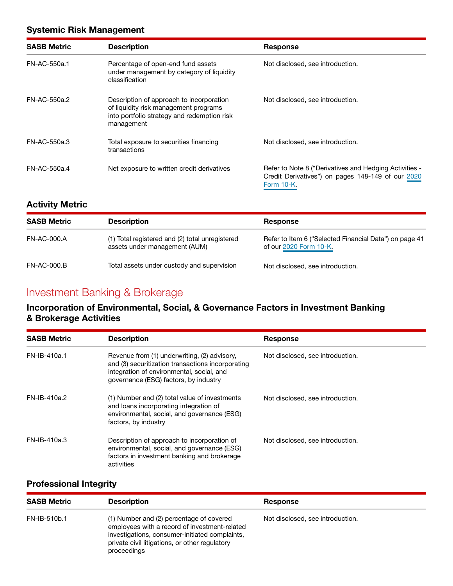#### Systemic Risk Management

| <b>SASB Metric</b> | <b>Description</b>                                                                                                                             | <b>Response</b>                                                                                                           |  |  |
|--------------------|------------------------------------------------------------------------------------------------------------------------------------------------|---------------------------------------------------------------------------------------------------------------------------|--|--|
| FN-AC-550a.1       | Percentage of open-end fund assets<br>under management by category of liquidity<br>classification                                              | Not disclosed, see introduction.                                                                                          |  |  |
| FN-AC-550a.2       | Description of approach to incorporation<br>of liquidity risk management programs<br>into portfolio strategy and redemption risk<br>management | Not disclosed, see introduction.                                                                                          |  |  |
| FN-AC-550a.3       | Total exposure to securities financing<br>transactions                                                                                         | Not disclosed, see introduction.                                                                                          |  |  |
| FN-AC-550a.4       | Net exposure to written credit derivatives                                                                                                     | Refer to Note 8 ("Derivatives and Hedging Activities -<br>Credit Derivatives") on pages 148-149 of our 2020<br>Form 10-K. |  |  |

#### Activity Metric

| <b>SASB Metric</b> | <b>Description</b>                                                               | <b>Response</b>                                                                  |
|--------------------|----------------------------------------------------------------------------------|----------------------------------------------------------------------------------|
| FN-AC-000.A        | (1) Total registered and (2) total unregistered<br>assets under management (AUM) | Refer to Item 6 ("Selected Financial Data") on page 41<br>of our 2020 Form 10-K. |
| <b>FN-AC-000.B</b> | Total assets under custody and supervision                                       | Not disclosed, see introduction.                                                 |

# Investment Banking & Brokerage

#### Incorporation of Environmental, Social, & Governance Factors in Investment Banking & Brokerage Activities

| <b>SASB Metric</b> | <b>Description</b>                                                                                                                                                                      | <b>Response</b>                  |
|--------------------|-----------------------------------------------------------------------------------------------------------------------------------------------------------------------------------------|----------------------------------|
| FN-IB-410a.1       | Revenue from (1) underwriting, (2) advisory,<br>and (3) securitization transactions incorporating<br>integration of environmental, social, and<br>governance (ESG) factors, by industry | Not disclosed, see introduction. |
| FN-IB-410a.2       | (1) Number and (2) total value of investments<br>and loans incorporating integration of<br>environmental, social, and governance (ESG)<br>factors, by industry                          | Not disclosed, see introduction. |
| $FN-IB-410a.3$     | Description of approach to incorporation of<br>environmental, social, and governance (ESG)<br>factors in investment banking and brokerage<br>activities                                 | Not disclosed, see introduction. |

#### Professional Integrity

| <b>SASB Metric</b> | <b>Description</b>                                                                                                                                                                                           | Response                         |  |
|--------------------|--------------------------------------------------------------------------------------------------------------------------------------------------------------------------------------------------------------|----------------------------------|--|
| FN-IB-510b.1       | (1) Number and (2) percentage of covered<br>employees with a record of investment-related<br>investigations, consumer-initiated complaints,<br>private civil litigations, or other regulatory<br>proceedings | Not disclosed, see introduction. |  |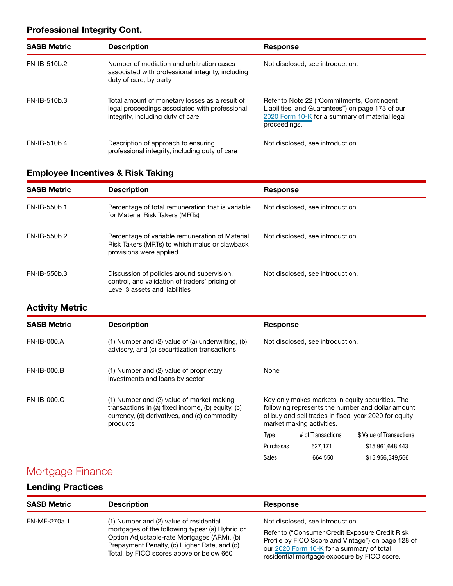#### Professional Integrity Cont.

| <b>SASB Metric</b> | <b>Description</b>                                                                                                                    | <b>Response</b>                                                                                                                                                   |
|--------------------|---------------------------------------------------------------------------------------------------------------------------------------|-------------------------------------------------------------------------------------------------------------------------------------------------------------------|
| FN-IB-510b.2       | Number of mediation and arbitration cases<br>associated with professional integrity, including<br>duty of care, by party              | Not disclosed, see introduction.                                                                                                                                  |
| FN-IB-510b.3       | Total amount of monetary losses as a result of<br>legal proceedings associated with professional<br>integrity, including duty of care | Refer to Note 22 ("Commitments, Contingent"<br>Liabilities, and Guarantees") on page 173 of our<br>2020 Form 10-K for a summary of material legal<br>proceedings. |
| FN-IB-510b.4       | Description of approach to ensuring<br>professional integrity, including duty of care                                                 | Not disclosed, see introduction.                                                                                                                                  |

#### Employee Incentives & Risk Taking

| <b>SASB Metric</b> | <b>Description</b>                                                                                                             | <b>Response</b>                  |
|--------------------|--------------------------------------------------------------------------------------------------------------------------------|----------------------------------|
| FN-IB-550b.1       | Percentage of total remuneration that is variable<br>for Material Risk Takers (MRTs)                                           | Not disclosed, see introduction. |
| FN-IB-550b.2       | Percentage of variable remuneration of Material<br>Risk Takers (MRTs) to which malus or clawback<br>provisions were applied    | Not disclosed, see introduction. |
| FN-IB-550b.3       | Discussion of policies around supervision,<br>control, and validation of traders' pricing of<br>Level 3 assets and liabilities | Not disclosed, see introduction. |

#### Activity Metric

| <b>SASB Metric</b> | <b>Description</b>                                                                                                                                         | <b>Response</b>                                                                                                                                                                             |                   |                          |  |
|--------------------|------------------------------------------------------------------------------------------------------------------------------------------------------------|---------------------------------------------------------------------------------------------------------------------------------------------------------------------------------------------|-------------------|--------------------------|--|
| FN-IB-000.A        | $(1)$ Number and $(2)$ value of $(a)$ underwriting, $(b)$<br>advisory, and (c) securitization transactions                                                 | Not disclosed, see introduction.                                                                                                                                                            |                   |                          |  |
| FN-IB-000.B        | (1) Number and (2) value of proprietary<br>investments and loans by sector                                                                                 | None                                                                                                                                                                                        |                   |                          |  |
| FN-IB-000.C        | (1) Number and (2) value of market making<br>transactions in (a) fixed income, (b) equity, (c)<br>currency, (d) derivatives, and (e) commodity<br>products | Key only makes markets in equity securities. The<br>following represents the number and dollar amount<br>of buy and sell trades in fiscal year 2020 for equity<br>market making activities. |                   |                          |  |
|                    |                                                                                                                                                            | Type                                                                                                                                                                                        | # of Transactions | \$ Value of Transactions |  |
|                    |                                                                                                                                                            | Purchases                                                                                                                                                                                   | 627.171           | \$15,961,648,443         |  |
|                    |                                                                                                                                                            | <b>Sales</b>                                                                                                                                                                                | 664.550           | \$15,956,549,566         |  |

# Mortgage Finance

### Lending Practices

| <b>SASB Metric</b> | <b>Description</b>                                                                                                                                                                                                                    | Response                                                                                                                                                                                                                               |
|--------------------|---------------------------------------------------------------------------------------------------------------------------------------------------------------------------------------------------------------------------------------|----------------------------------------------------------------------------------------------------------------------------------------------------------------------------------------------------------------------------------------|
| FN-MF-270a.1       | (1) Number and (2) value of residential<br>mortgages of the following types: (a) Hybrid or<br>Option Adjustable-rate Mortgages (ARM), (b)<br>Prepayment Penalty, (c) Higher Rate, and (d)<br>Total, by FICO scores above or below 660 | Not disclosed, see introduction.<br>Refer to ("Consumer Credit Exposure Credit Risk<br>Profile by FICO Score and Vintage") on page 128 of<br>our 2020 Form 10-K for a summary of total<br>residential mortgage exposure by FICO score. |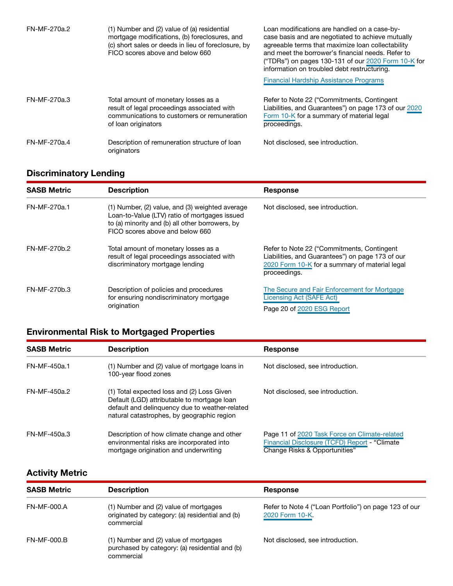| FN-MF-270a.2 | (1) Number and (2) value of (a) residential<br>mortgage modifications, (b) foreclosures, and<br>(c) short sales or deeds in lieu of foreclosure, by<br>FICO scores above and below 660 | Loan modifications are handled on a case-by-<br>case basis and are negotiated to achieve mutually<br>agreeable terms that maximize loan collectability<br>and meet the borrower's financial needs. Refer to<br>("TDRs") on pages 130-131 of our 2020 Form 10-K for<br>information on troubled debt restructuring. |
|--------------|----------------------------------------------------------------------------------------------------------------------------------------------------------------------------------------|-------------------------------------------------------------------------------------------------------------------------------------------------------------------------------------------------------------------------------------------------------------------------------------------------------------------|
|              |                                                                                                                                                                                        | <b>Financial Hardship Assistance Programs</b>                                                                                                                                                                                                                                                                     |
| FN-MF-270a.3 | Total amount of monetary losses as a<br>result of legal proceedings associated with<br>communications to customers or remuneration<br>of loan originators                              | Refer to Note 22 ("Commitments, Contingent"<br>Liabilities, and Guarantees") on page 173 of our 2020<br>Form 10-K for a summary of material legal<br>proceedings.                                                                                                                                                 |
| FN-MF-270a.4 | Description of remuneration structure of loan<br>originators                                                                                                                           | Not disclosed, see introduction.                                                                                                                                                                                                                                                                                  |

### Discriminatory Lending

| <b>SASB Metric</b> | <b>Description</b>                                                                                                                                                                           | <b>Response</b>                                                                                                                                                   |
|--------------------|----------------------------------------------------------------------------------------------------------------------------------------------------------------------------------------------|-------------------------------------------------------------------------------------------------------------------------------------------------------------------|
| FN-MF-270a.1       | $(1)$ Number, $(2)$ value, and $(3)$ weighted average<br>Loan-to-Value (LTV) ratio of mortgages issued<br>to (a) minority and (b) all other borrowers, by<br>FICO scores above and below 660 | Not disclosed, see introduction.                                                                                                                                  |
| FN-MF-270b.2       | Total amount of monetary losses as a<br>result of legal proceedings associated with<br>discriminatory mortgage lending                                                                       | Refer to Note 22 ("Commitments, Contingent"<br>Liabilities, and Guarantees") on page 173 of our<br>2020 Form 10-K for a summary of material legal<br>proceedings. |
| FN-MF-270b.3       | Description of policies and procedures<br>for ensuring nondiscriminatory mortgage<br>origination                                                                                             | The Secure and Fair Enforcement for Mortgage<br>Licensing Act (SAFE Act)                                                                                          |
|                    |                                                                                                                                                                                              | Page 20 of 2020 ESG Report                                                                                                                                        |

### Environmental Risk to Mortgaged Properties

| <b>SASB Metric</b> | <b>Description</b>                                                                                                                                                                        | <b>Response</b>                                                                                                                 |
|--------------------|-------------------------------------------------------------------------------------------------------------------------------------------------------------------------------------------|---------------------------------------------------------------------------------------------------------------------------------|
| FN-MF-450a.1       | (1) Number and (2) value of mortgage loans in<br>100-year flood zones                                                                                                                     | Not disclosed, see introduction.                                                                                                |
| FN-MF-450a.2       | (1) Total expected loss and (2) Loss Given<br>Default (LGD) attributable to mortgage loan<br>default and delinquency due to weather-related<br>natural catastrophes, by geographic region | Not disclosed, see introduction.                                                                                                |
| FN-MF-450a.3       | Description of how climate change and other<br>environmental risks are incorporated into<br>mortgage origination and underwriting                                                         | Page 11 of 2020 Task Force on Climate-related<br>Financial Disclosure (TCFD) Report - "Climate<br>Change Risks & Opportunities" |

### Activity Metric

| <b>SASB Metric</b> | <b>Description</b>                                                                                     | Response                                                                |
|--------------------|--------------------------------------------------------------------------------------------------------|-------------------------------------------------------------------------|
| <b>FN-MF-000.A</b> | (1) Number and (2) value of mortgages<br>originated by category: (a) residential and (b)<br>commercial | Refer to Note 4 ("Loan Portfolio") on page 123 of our<br>2020 Form 10-K |
| $FN-MF-000.B$      | (1) Number and (2) value of mortgages<br>purchased by category: (a) residential and (b)<br>commercial  | Not disclosed, see introduction.                                        |